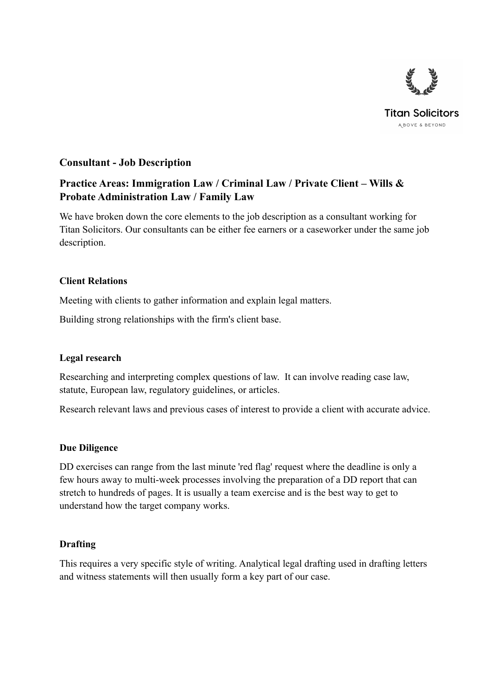

# **Consultant - Job Description**

# **Practice Areas: Immigration Law / Criminal Law / Private Client – Wills & Probate Administration Law / Family Law**

We have broken down the core elements to the job description as a consultant working for Titan Solicitors. Our consultants can be either fee earners or a caseworker under the same job description.

## **Client Relations**

Meeting with clients to gather information and explain legal matters.

Building strong relationships with the firm's client base.

#### **Legal research**

Researching and interpreting complex questions of law. It can involve reading case law, statute, European law, regulatory guidelines, or articles.

Research relevant laws and previous cases of interest to provide a client with accurate advice.

#### **Due Diligence**

DD exercises can range from the last minute 'red flag' request where the deadline is only a few hours away to multi-week processes involving the preparation of a DD report that can stretch to hundreds of pages. It is usually a team exercise and is the best way to get to understand how the target company works.

# **Drafting**

This requires a very specific style of writing. Analytical legal drafting used in drafting letters and witness statements will then usually form a key part of our case.